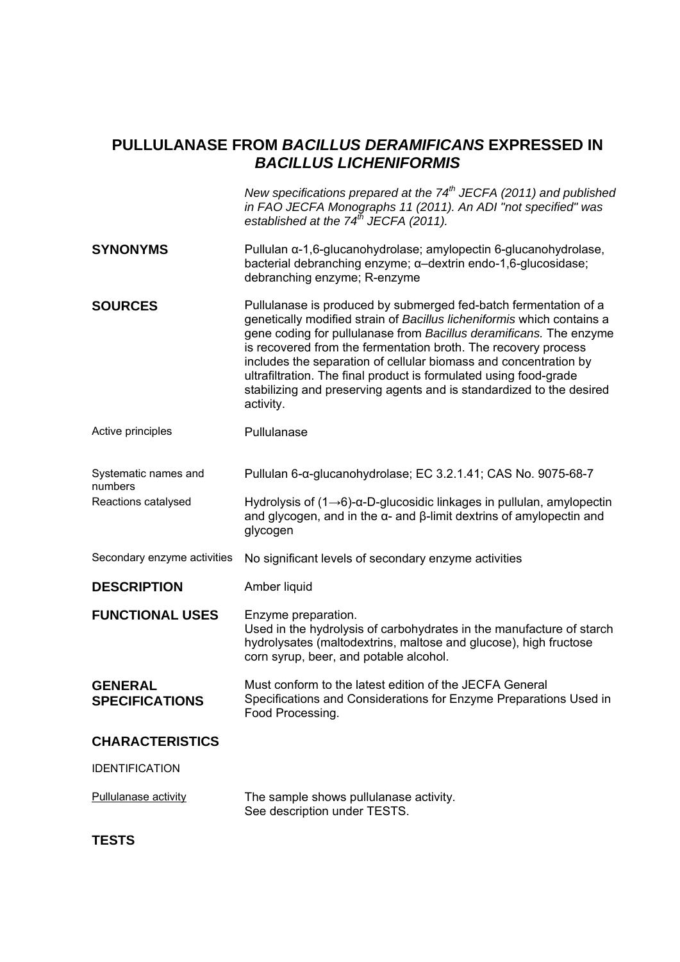# **PULLULANASE FROM** *BACILLUS DERAMIFICANS* **EXPRESSED IN**  *BACILLUS LICHENIFORMIS*

*New specifications prepared at the 74th JECFA (2011) and published in FAO JECFA Monographs 11 (2011). An ADI "not specified" was established at the 74th JECFA (2011).*  **SYNONYMS** Pullulan α-1,6-glucanohydrolase; amylopectin 6-glucanohydrolase, bacterial debranching enzyme; α–dextrin endo-1,6-glucosidase; debranching enzyme; R-enzyme **SOURCES** Pullulanase is produced by submerged fed-batch fermentation of a genetically modified strain of *Bacillus licheniformis* which contains a gene coding for pullulanase from *Bacillus deramificans.* The enzyme is recovered from the fermentation broth. The recovery process includes the separation of cellular biomass and concentration by ultrafiltration. The final product is formulated using food-grade stabilizing and preserving agents and is standardized to the desired activity. Active principles **Pullulanase** 

Systematic names and numbers Pullulan 6-α-glucanohydrolase; EC 3.2.1.41; CAS No. 9075-68-7

Reactions catalysed Hydrolysis of (1→6)-α-D-glucosidic linkages in pullulan, amylopectin and glycogen, and in the α- and β-limit dextrins of amylopectin and glycogen

Secondary enzyme activities No significant levels of secondary enzyme activities

**DESCRIPTION** Amber liquid

**FUNCTIONAL USES** Enzyme preparation. Used in the hydrolysis of carbohydrates in the manufacture of starch hydrolysates (maltodextrins, maltose and glucose), high fructose corn syrup, beer, and potable alcohol.

**GENERAL SPECIFICATIONS**  Must conform to the latest edition of the JECFA General Specifications and Considerations for Enzyme Preparations Used in Food Processing.

## **CHARACTERISTICS**

IDENTIFICATION

Pullulanase activity The sample shows pullulanase activity. See description under TESTS.

**TESTS**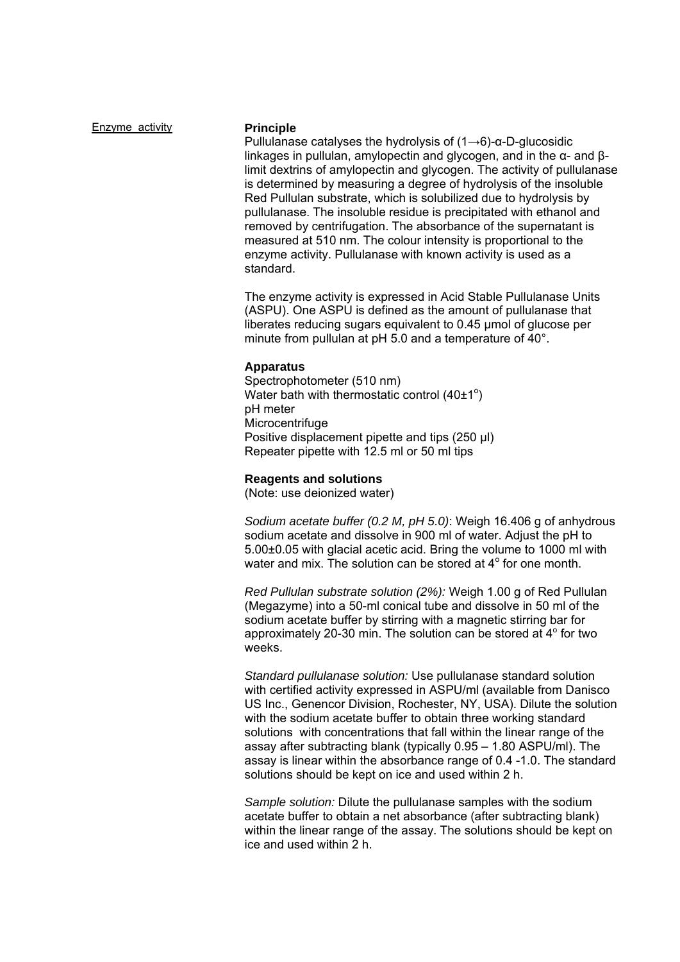**Enzyme activity Principle** 

Pullulanase catalyses the hydrolysis of  $(1\rightarrow 6)$ - $\alpha$ -D-glucosidic linkages in pullulan, amylopectin and glycogen, and in the α- and βlimit dextrins of amylopectin and glycogen. The activity of pullulanase is determined by measuring a degree of hydrolysis of the insoluble Red Pullulan substrate, which is solubilized due to hydrolysis by pullulanase. The insoluble residue is precipitated with ethanol and removed by centrifugation. The absorbance of the supernatant is measured at 510 nm. The colour intensity is proportional to the enzyme activity. Pullulanase with known activity is used as a standard.

The enzyme activity is expressed in Acid Stable Pullulanase Units (ASPU). One ASPU is defined as the amount of pullulanase that liberates reducing sugars equivalent to 0.45 µmol of glucose per minute from pullulan at pH 5.0 and a temperature of 40°.

### **Apparatus**

Spectrophotometer (510 nm) Water bath with thermostatic control  $(40±1^{\circ})$ pH meter **Microcentrifuge** Positive displacement pipette and tips (250 μl) Repeater pipette with 12.5 ml or 50 ml tips

### **Reagents and solutions**

(Note: use deionized water)

*Sodium acetate buffer (0.2 M, pH 5.0)*: Weigh 16.406 g of anhydrous sodium acetate and dissolve in 900 ml of water. Adjust the pH to 5.00±0.05 with glacial acetic acid. Bring the volume to 1000 ml with water and mix. The solution can be stored at  $4^\circ$  for one month.

*Red Pullulan substrate solution (2%):* Weigh 1.00 g of Red Pullulan (Megazyme) into a 50-ml conical tube and dissolve in 50 ml of the sodium acetate buffer by stirring with a magnetic stirring bar for approximately 20-30 min. The solution can be stored at  $4^\circ$  for two weeks.

*Standard pullulanase solution:* Use pullulanase standard solution with certified activity expressed in ASPU/ml (available from Danisco US Inc., Genencor Division, Rochester, NY, USA). Dilute the solution with the sodium acetate buffer to obtain three working standard solutions with concentrations that fall within the linear range of the assay after subtracting blank (typically 0.95 – 1.80 ASPU/ml). The assay is linear within the absorbance range of 0.4 -1.0. The standard solutions should be kept on ice and used within 2 h.

*Sample solution:* Dilute the pullulanase samples with the sodium acetate buffer to obtain a net absorbance (after subtracting blank) within the linear range of the assay. The solutions should be kept on ice and used within 2 h.